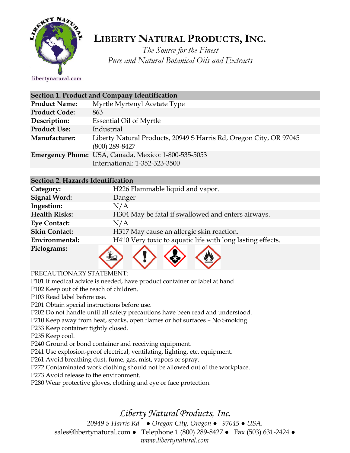

# **LIBERTY NATURAL PRODUCTS,INC.**

*The Source for the Finest Pure and Natural Botanical Oils and Extracts*

#### libertynatural.com

| Section 1. Product and Company Identification |                                                                                        |  |
|-----------------------------------------------|----------------------------------------------------------------------------------------|--|
| <b>Product Name:</b>                          | Myrtle Myrtenyl Acetate Type                                                           |  |
| <b>Product Code:</b>                          | 863                                                                                    |  |
| Description:                                  | <b>Essential Oil of Myrtle</b>                                                         |  |
| <b>Product Use:</b>                           | Industrial                                                                             |  |
| Manufacturer:                                 | Liberty Natural Products, 20949 S Harris Rd, Oregon City, OR 97045<br>$(800)$ 289-8427 |  |
|                                               | Emergency Phone: USA, Canada, Mexico: 1-800-535-5053<br>International: 1-352-323-3500  |  |

## **Section 2. Hazards Identification**

| Category:            | H226 Flammable liquid and vapor.                           |
|----------------------|------------------------------------------------------------|
| <b>Signal Word:</b>  | Danger                                                     |
| Ingestion:           | N/A                                                        |
| <b>Health Risks:</b> | H304 May be fatal if swallowed and enters airways.         |
| <b>Eye Contact:</b>  | N/A                                                        |
| <b>Skin Contact:</b> | H317 May cause an allergic skin reaction.                  |
| Environmental:       | H410 Very toxic to aquatic life with long lasting effects. |
| Pictograms:          |                                                            |

**V** 

## PRECAUTIONARY STATEMENT:

P101 If medical advice is needed, have product container or label at hand.

P102 Keep out of the reach of children.

P103 Read label before use.

P201 Obtain special instructions before use.

P202 Do not handle until all safety precautions have been read and understood.

P210 Keep away from heat, sparks, open flames or hot surfaces – No Smoking.

P233 Keep container tightly closed.

P235 Keep cool.

P240 Ground or bond container and receiving equipment.

P241 Use explosion-proof electrical, ventilating, lighting, etc. equipment.

P261 Avoid breathing dust, fume, gas, mist, vapors or spray.

P272 Contaminated work clothing should not be allowed out of the workplace.

P273 Avoid release to the environment.

P280 Wear protective gloves, clothing and eye or face protection.

*Liberty Natural Products, Inc.* 

*20949 S Harris Rd ● Oregon City, Oregon ● 97045 ● USA.* 

sales@libertynatural.com *●* Telephone 1 (800) 289-8427 ● Fax (503) 631-2424 *●*

*www.libertynatural.com*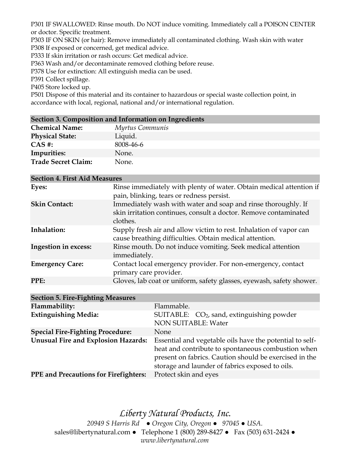P301 IF SWALLOWED: Rinse mouth. Do NOT induce vomiting. Immediately call a POISON CENTER or doctor. Specific treatment.

P303 IF ON SKIN (or hair): Remove immediately all contaminated clothing. Wash skin with water

P308 If exposed or concerned, get medical advice.

P333 If skin irritation or rash occurs: Get medical advice.

P363 Wash and/or decontaminate removed clothing before reuse.

P378 Use for extinction: All extinguish media can be used.

P391 Collect spillage.

P405 Store locked up.

P501 Dispose of this material and its container to hazardous or special waste collection point, in accordance with local, regional, national and/or international regulation.

| Section 3. Composition and Information on Ingredients |                 |  |
|-------------------------------------------------------|-----------------|--|
| <b>Chemical Name:</b>                                 | Myrtus Communis |  |
| <b>Physical State:</b>                                | Liquid.         |  |
| $CAS$ #:                                              | 8008-46-6       |  |
| Impurities:                                           | None.           |  |
| <b>Trade Secret Claim:</b>                            | None.           |  |

| <b>Section 4. First Aid Measures</b> |                                                                                                                                               |  |
|--------------------------------------|-----------------------------------------------------------------------------------------------------------------------------------------------|--|
| Eyes:                                | Rinse immediately with plenty of water. Obtain medical attention if<br>pain, blinking, tears or redness persist.                              |  |
| <b>Skin Contact:</b>                 | Immediately wash with water and soap and rinse thoroughly. If<br>skin irritation continues, consult a doctor. Remove contaminated<br>clothes. |  |
| Inhalation:                          | Supply fresh air and allow victim to rest. Inhalation of vapor can<br>cause breathing difficulties. Obtain medical attention.                 |  |
| <b>Ingestion in excess:</b>          | Rinse mouth. Do not induce vomiting. Seek medical attention<br>immediately.                                                                   |  |
| <b>Emergency Care:</b>               | Contact local emergency provider. For non-emergency, contact<br>primary care provider.                                                        |  |
| PPE:                                 | Gloves, lab coat or uniform, safety glasses, eyewash, safety shower.                                                                          |  |

| <b>Section 5. Fire-Fighting Measures</b>     |                                                                                                                                                                                                                             |  |
|----------------------------------------------|-----------------------------------------------------------------------------------------------------------------------------------------------------------------------------------------------------------------------------|--|
| Flammability:                                | Flammable.                                                                                                                                                                                                                  |  |
| <b>Extinguishing Media:</b>                  | SUITABLE: $CO2$ , sand, extinguishing powder<br><b>NON SUITABLE: Water</b>                                                                                                                                                  |  |
| <b>Special Fire-Fighting Procedure:</b>      | None                                                                                                                                                                                                                        |  |
| <b>Unusual Fire and Explosion Hazards:</b>   | Essential and vegetable oils have the potential to self-<br>heat and contribute to spontaneous combustion when<br>present on fabrics. Caution should be exercised in the<br>storage and launder of fabrics exposed to oils. |  |
| <b>PPE</b> and Precautions for Firefighters: | Protect skin and eyes                                                                                                                                                                                                       |  |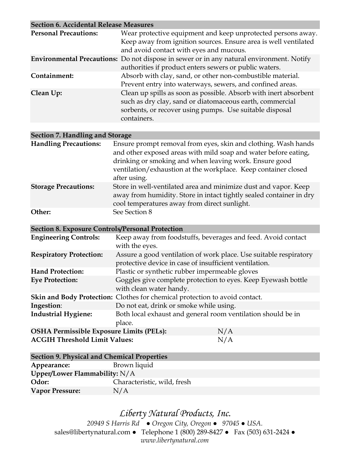| <b>Section 6. Accidental Release Measures</b>           |                                                                                                                                                                                                                                                                               |  |
|---------------------------------------------------------|-------------------------------------------------------------------------------------------------------------------------------------------------------------------------------------------------------------------------------------------------------------------------------|--|
| <b>Personal Precautions:</b>                            | Wear protective equipment and keep unprotected persons away.<br>Keep away from ignition sources. Ensure area is well ventilated                                                                                                                                               |  |
|                                                         | and avoid contact with eyes and mucous.                                                                                                                                                                                                                                       |  |
|                                                         | Environmental Precautions: Do not dispose in sewer or in any natural environment. Notify<br>authorities if product enters sewers or public waters.                                                                                                                            |  |
| Containment:                                            | Absorb with clay, sand, or other non-combustible material.<br>Prevent entry into waterways, sewers, and confined areas.                                                                                                                                                       |  |
| Clean Up:                                               | Clean up spills as soon as possible. Absorb with inert absorbent<br>such as dry clay, sand or diatomaceous earth, commercial<br>sorbents, or recover using pumps. Use suitable disposal<br>containers.                                                                        |  |
|                                                         |                                                                                                                                                                                                                                                                               |  |
| Section 7. Handling and Storage                         |                                                                                                                                                                                                                                                                               |  |
| <b>Handling Precautions:</b>                            | Ensure prompt removal from eyes, skin and clothing. Wash hands<br>and other exposed areas with mild soap and water before eating,<br>drinking or smoking and when leaving work. Ensure good<br>ventilation/exhaustion at the workplace. Keep container closed<br>after using. |  |
| <b>Storage Precautions:</b>                             | Store in well-ventilated area and minimize dust and vapor. Keep<br>away from humidity. Store in intact tightly sealed container in dry<br>cool temperatures away from direct sunlight.                                                                                        |  |
| Other:                                                  | See Section 8                                                                                                                                                                                                                                                                 |  |
| <b>Section 8. Exposure Controls/Personal Protection</b> |                                                                                                                                                                                                                                                                               |  |
| <b>Engineering Controls:</b>                            | Keep away from foodstuffs, beverages and feed. Avoid contact<br>with the eyes.                                                                                                                                                                                                |  |
| <b>Respiratory Protection:</b>                          | Assure a good ventilation of work place. Use suitable respiratory<br>protective device in case of insufficient ventilation.                                                                                                                                                   |  |
| <b>Hand Protection:</b>                                 | Plastic or synthetic rubber impermeable gloves                                                                                                                                                                                                                                |  |
| <b>Eye Protection:</b>                                  | Goggles give complete protection to eyes. Keep Eyewash bottle<br>with clean water handy.                                                                                                                                                                                      |  |
|                                                         | Skin and Body Protection: Clothes for chemical protection to avoid contact.                                                                                                                                                                                                   |  |
| Ingestion:                                              | Do not eat, drink or smoke while using.                                                                                                                                                                                                                                       |  |
| <b>Industrial Hygiene:</b>                              | Both local exhaust and general room ventilation should be in<br>place.                                                                                                                                                                                                        |  |

**OSHA Permissible Exposure Limits (PELs):** N/A **ACGIH Threshold Limit Values:** N/A

| <b>Section 9. Physical and Chemical Properties</b> |                             |  |
|----------------------------------------------------|-----------------------------|--|
| Appearance:                                        | Brown liquid                |  |
| Upper/Lower Flammability: $N/A$                    |                             |  |
| Odor:                                              | Characteristic, wild, fresh |  |
| <b>Vapor Pressure:</b>                             | N/A                         |  |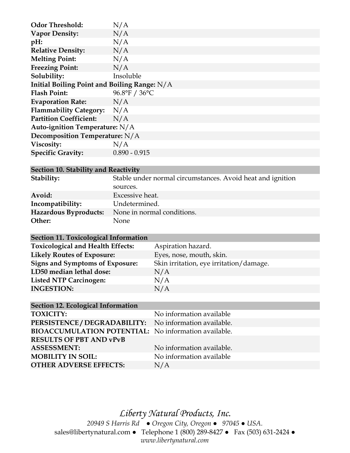| <b>Odor Threshold:</b>                         | N/A             |  |
|------------------------------------------------|-----------------|--|
| <b>Vapor Density:</b>                          | N/A             |  |
| pH:                                            | N/A             |  |
| <b>Relative Density:</b>                       | N/A             |  |
| <b>Melting Point:</b>                          | N/A             |  |
| <b>Freezing Point:</b>                         | N/A             |  |
| Solubility:                                    | Insoluble       |  |
| Initial Boiling Point and Boiling Range: $N/A$ |                 |  |
| <b>Flash Point:</b>                            | 96.8°F / 36°C   |  |
| <b>Evaporation Rate:</b>                       | N/A             |  |
| Flammability Category: N/A                     |                 |  |
| <b>Partition Coefficient:</b>                  | N/A             |  |
| Auto-ignition Temperature: $N/A$               |                 |  |
| <b>Decomposition Temperature:</b> N/A          |                 |  |
| Viscosity:                                     | N/A             |  |
| <b>Specific Gravity:</b>                       | $0.890 - 0.915$ |  |

## **Section 10. Stability and Reactivity**

| Stability:            | Stable under normal circumstances. Avoid heat and ignition |  |
|-----------------------|------------------------------------------------------------|--|
|                       | sources.                                                   |  |
| Avoid:                | Excessive heat.                                            |  |
| Incompatibility:      | Undetermined.                                              |  |
| Hazardous Byproducts: | None in normal conditions.                                 |  |
| Other:                | None                                                       |  |

### **Section 11. Toxicological Information**

| <b>Toxicological and Health Effects:</b> | Aspiration hazard.                      |
|------------------------------------------|-----------------------------------------|
| <b>Likely Routes of Exposure:</b>        | Eyes, nose, mouth, skin.                |
| <b>Signs and Symptoms of Exposure:</b>   | Skin irritation, eye irritation/damage. |
| LD50 median lethal dose:                 | N/A                                     |
| <b>Listed NTP Carcinogen:</b>            | N/A                                     |
| <b>INGESTION:</b>                        | N/A                                     |
|                                          |                                         |

| Section 12. Ecological Information                          |  |  |
|-------------------------------------------------------------|--|--|
| No information available                                    |  |  |
| PERSISTENCE / DEGRADABILITY: No information available.      |  |  |
| <b>BIOACCUMULATION POTENTIAL:</b> No information available. |  |  |
|                                                             |  |  |
| No information available.                                   |  |  |
| No information available                                    |  |  |
| N/A                                                         |  |  |
|                                                             |  |  |